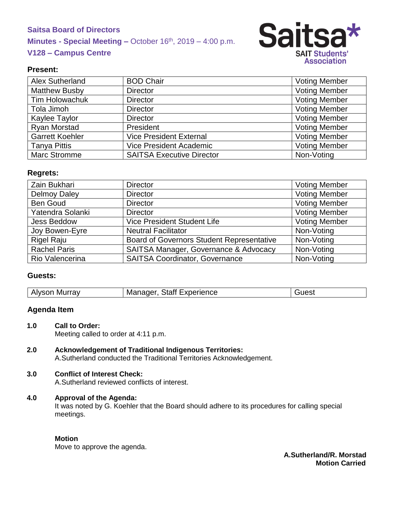# **Saitsa Board of Directors Minutes - Special Meeting –** October 16<sup>th</sup>, 2019 – 4:00 p.m. **V128 – Campus Centre**



# **Present:**

| Alex Sutherland        | <b>BOD Chair</b>                 | <b>Voting Member</b> |
|------------------------|----------------------------------|----------------------|
| <b>Matthew Busby</b>   | <b>Director</b>                  | <b>Voting Member</b> |
| <b>Tim Holowachuk</b>  | <b>Director</b>                  | <b>Voting Member</b> |
| Tola Jimoh             | <b>Director</b>                  | <b>Voting Member</b> |
| Kaylee Taylor          | <b>Director</b>                  | <b>Voting Member</b> |
| Ryan Morstad           | President                        | <b>Voting Member</b> |
| <b>Garrett Koehler</b> | <b>Vice President External</b>   | <b>Voting Member</b> |
| <b>Tanya Pittis</b>    | <b>Vice President Academic</b>   | <b>Voting Member</b> |
| <b>Marc Stromme</b>    | <b>SAITSA Executive Director</b> | Non-Voting           |

#### **Regrets:**

| Zain Bukhari        | <b>Director</b>                                  | <b>Voting Member</b> |
|---------------------|--------------------------------------------------|----------------------|
| <b>Delmoy Daley</b> | <b>Director</b>                                  | <b>Voting Member</b> |
| <b>Ben Goud</b>     | <b>Director</b>                                  | <b>Voting Member</b> |
| Yatendra Solanki    | <b>Director</b>                                  | <b>Voting Member</b> |
| <b>Jess Beddow</b>  | Vice President Student Life                      | <b>Voting Member</b> |
| Joy Bowen-Eyre      | <b>Neutral Facilitator</b>                       | Non-Voting           |
| <b>Rigel Raju</b>   | <b>Board of Governors Student Representative</b> | Non-Voting           |
| <b>Rachel Paris</b> | SAITSA Manager, Governance & Advocacy            | Non-Voting           |
| Rio Valencerina     | <b>SAITSA Coordinator, Governance</b>            | Non-Voting           |

# **Guests:**

| <b>Alyson Murray</b> | <b>Staff Experience</b><br>Manager, | Guest |
|----------------------|-------------------------------------|-------|
|----------------------|-------------------------------------|-------|

# **Agenda Item**

- **1.0 Call to Order:** Meeting called to order at 4:11 p.m.
- **2.0 Acknowledgement of Traditional Indigenous Territories:** A.Sutherland conducted the Traditional Territories Acknowledgement.

# **3.0 Conflict of Interest Check:**

A.Sutherland reviewed conflicts of interest.

# **4.0 Approval of the Agenda:**

It was noted by G. Koehler that the Board should adhere to its procedures for calling special meetings.

#### **Motion**

Move to approve the agenda.

**A.Sutherland/R. Morstad Motion Carried**